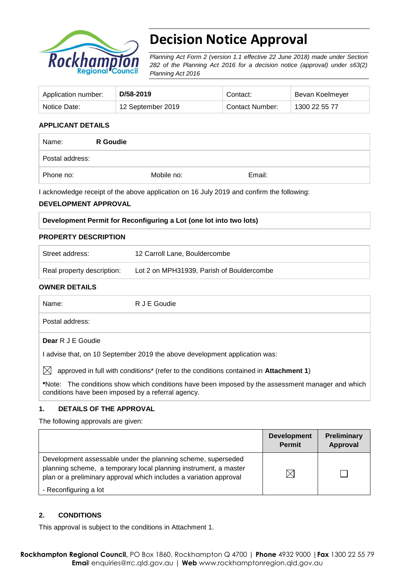

# **Decision Notice Approval**

*Planning Act Form 2 (version 1.1 effective 22 June 2018) made under Section 282 of the Planning Act 2016 for a decision notice (approval) under s63(2) Planning Act 2016*

| Application number: | D/58-2019         | Contact:               | Bevan Koelmeyer |
|---------------------|-------------------|------------------------|-----------------|
| Notice Date:        | 12 September 2019 | <b>Contact Number:</b> | 1300 22 55 77   |

## **APPLICANT DETAILS**

| Name:           | <b>R</b> Goudie |            |        |
|-----------------|-----------------|------------|--------|
| Postal address: |                 |            |        |
| Phone no:       |                 | Mobile no: | Email: |

I acknowledge receipt of the above application on 16 July 2019 and confirm the following:

## **DEVELOPMENT APPROVAL**

| Development Permit for Reconfiguring a Lot (one lot into two lots) |  |
|--------------------------------------------------------------------|--|
|                                                                    |  |

#### **PROPERTY DESCRIPTION**

| Street address:            | 12 Carroll Lane, Bouldercombe             |
|----------------------------|-------------------------------------------|
| Real property description: | Lot 2 on MPH31939, Parish of Bouldercombe |

#### **OWNER DETAILS**

| Name:                                              | R J E Goudie                                                                                      |
|----------------------------------------------------|---------------------------------------------------------------------------------------------------|
| Postal address:                                    |                                                                                                   |
| Dear R J E Goudie                                  |                                                                                                   |
|                                                    | l advise that, on 10 September 2019 the above development application was:                        |
| IХI                                                | approved in full with conditions* (refer to the conditions contained in Attachment 1)             |
| conditions have been imposed by a referral agency. | *Note: The conditions show which conditions have been imposed by the assessment manager and which |

## **1. DETAILS OF THE APPROVAL**

The following approvals are given:

|                                                                                                                                                                                                        | <b>Development</b><br><b>Permit</b> | Preliminary<br>Approval |
|--------------------------------------------------------------------------------------------------------------------------------------------------------------------------------------------------------|-------------------------------------|-------------------------|
| Development assessable under the planning scheme, superseded<br>planning scheme, a temporary local planning instrument, a master<br>plan or a preliminary approval which includes a variation approval |                                     |                         |
| - Reconfiguring a lot                                                                                                                                                                                  |                                     |                         |

## **2. CONDITIONS**

This approval is subject to the conditions in Attachment 1.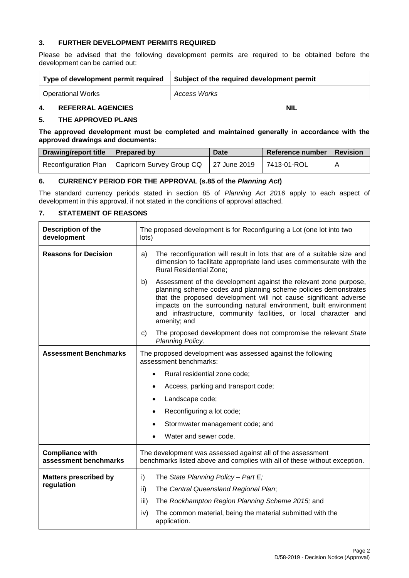## **3. FURTHER DEVELOPMENT PERMITS REQUIRED**

Please be advised that the following development permits are required to be obtained before the development can be carried out:

| Type of development permit required | Subject of the required development permit |
|-------------------------------------|--------------------------------------------|
| <b>Operational Works</b>            | Access Works                               |

## **4. REFERRAL AGENCIES NIL**

#### **5. THE APPROVED PLANS**

**The approved development must be completed and maintained generally in accordance with the approved drawings and documents:**

| Drawing/report title   Prepared by |                                                                 | Date | Reference number   Revision |  |
|------------------------------------|-----------------------------------------------------------------|------|-----------------------------|--|
|                                    | Reconfiguration Plan   Capricorn Survey Group CQ   27 June 2019 |      | 7413-01-ROL                 |  |

#### **6. CURRENCY PERIOD FOR THE APPROVAL (s.85 of the** *Planning Act***)**

The standard currency periods stated in section 85 of *Planning Act 2016* apply to each aspect of development in this approval, if not stated in the conditions of approval attached.

#### **7. STATEMENT OF REASONS**

| Description of the<br>development               | The proposed development is for Reconfiguring a Lot (one lot into two<br>lots)                                                                                                                                                                                                                                                                                         |  |  |
|-------------------------------------------------|------------------------------------------------------------------------------------------------------------------------------------------------------------------------------------------------------------------------------------------------------------------------------------------------------------------------------------------------------------------------|--|--|
| <b>Reasons for Decision</b>                     | The reconfiguration will result in lots that are of a suitable size and<br>a)<br>dimension to facilitate appropriate land uses commensurate with the<br><b>Rural Residential Zone;</b>                                                                                                                                                                                 |  |  |
|                                                 | Assessment of the development against the relevant zone purpose,<br>b)<br>planning scheme codes and planning scheme policies demonstrates<br>that the proposed development will not cause significant adverse<br>impacts on the surrounding natural environment, built environment<br>and infrastructure, community facilities, or local character and<br>amenity; and |  |  |
|                                                 | The proposed development does not compromise the relevant State<br>c)<br>Planning Policy.                                                                                                                                                                                                                                                                              |  |  |
| <b>Assessment Benchmarks</b>                    | The proposed development was assessed against the following<br>assessment benchmarks:                                                                                                                                                                                                                                                                                  |  |  |
|                                                 | Rural residential zone code;<br>$\bullet$                                                                                                                                                                                                                                                                                                                              |  |  |
|                                                 | Access, parking and transport code;<br>$\bullet$                                                                                                                                                                                                                                                                                                                       |  |  |
|                                                 | Landscape code;<br>$\bullet$                                                                                                                                                                                                                                                                                                                                           |  |  |
|                                                 | Reconfiguring a lot code;<br>٠                                                                                                                                                                                                                                                                                                                                         |  |  |
|                                                 | Stormwater management code; and<br>$\bullet$                                                                                                                                                                                                                                                                                                                           |  |  |
|                                                 | Water and sewer code.                                                                                                                                                                                                                                                                                                                                                  |  |  |
| <b>Compliance with</b><br>assessment benchmarks | The development was assessed against all of the assessment<br>benchmarks listed above and complies with all of these without exception.                                                                                                                                                                                                                                |  |  |
| <b>Matters prescribed by</b>                    | The State Planning Policy - Part E;<br>i)                                                                                                                                                                                                                                                                                                                              |  |  |
| regulation                                      | ii)<br>The Central Queensland Regional Plan;                                                                                                                                                                                                                                                                                                                           |  |  |
|                                                 | The Rockhampton Region Planning Scheme 2015; and<br>iii)                                                                                                                                                                                                                                                                                                               |  |  |
|                                                 | The common material, being the material submitted with the<br>iv)<br>application.                                                                                                                                                                                                                                                                                      |  |  |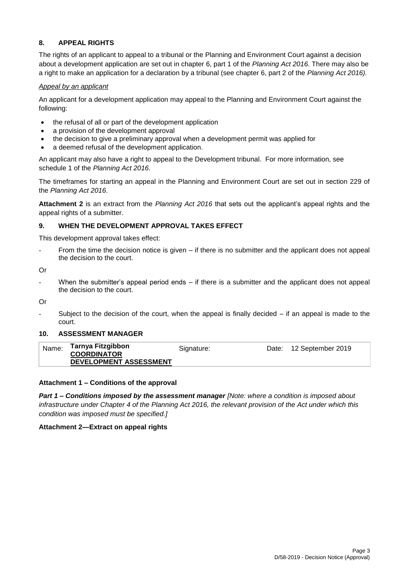## **8. APPEAL RIGHTS**

The rights of an applicant to appeal to a tribunal or the Planning and Environment Court against a decision about a development application are set out in chapter 6, part 1 of the *Planning Act 2016*. There may also be a right to make an application for a declaration by a tribunal (see chapter 6, part 2 of the *Planning Act 2016).*

## *Appeal by an applicant*

An applicant for a development application may appeal to the Planning and Environment Court against the following:

- the refusal of all or part of the development application
- a provision of the development approval
- the decision to give a preliminary approval when a development permit was applied for
- a deemed refusal of the development application.

An applicant may also have a right to appeal to the Development tribunal. For more information, see schedule 1 of the *Planning Act 2016*.

The timeframes for starting an appeal in the Planning and Environment Court are set out in section 229 of the *Planning Act 2016*.

**Attachment 2** is an extract from the *Planning Act 2016* that sets out the applicant's appeal rights and the appeal rights of a submitter.

## **9. WHEN THE DEVELOPMENT APPROVAL TAKES EFFECT**

This development approval takes effect:

From the time the decision notice is given  $-$  if there is no submitter and the applicant does not appeal the decision to the court.

Or

When the submitter's appeal period ends  $-$  if there is a submitter and the applicant does not appeal the decision to the court.

Or

Subject to the decision of the court, when the appeal is finally decided  $-$  if an appeal is made to the court.

## **10. ASSESSMENT MANAGER**

| Name: | Tarnya Fitzgibbon                            | Signature: | Date: 12 September 2019 |
|-------|----------------------------------------------|------------|-------------------------|
|       | <b>COORDINATOR</b><br>DEVELOPMENT ASSESSMENT |            |                         |
|       |                                              |            |                         |

## **Attachment 1 – Conditions of the approval**

*Part 1* **–** *Conditions imposed by the assessment manager [Note: where a condition is imposed about infrastructure under Chapter 4 of the Planning Act 2016, the relevant provision of the Act under which this condition was imposed must be specified.]*

## **Attachment 2—Extract on appeal rights**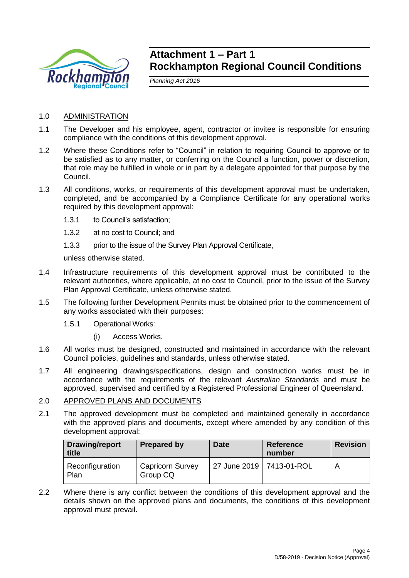

## **Attachment 1 – Part 1 Rockhampton Regional Council Conditions**

*Planning Act 2016*

- 1.0 ADMINISTRATION
- 1.1 The Developer and his employee, agent, contractor or invitee is responsible for ensuring compliance with the conditions of this development approval.
- 1.2 Where these Conditions refer to "Council" in relation to requiring Council to approve or to be satisfied as to any matter, or conferring on the Council a function, power or discretion, that role may be fulfilled in whole or in part by a delegate appointed for that purpose by the Council.
- 1.3 All conditions, works, or requirements of this development approval must be undertaken, completed, and be accompanied by a Compliance Certificate for any operational works required by this development approval:
	- 1.3.1 to Council's satisfaction;
	- 1.3.2 at no cost to Council; and
	- 1.3.3 prior to the issue of the Survey Plan Approval Certificate,

unless otherwise stated.

- 1.4 Infrastructure requirements of this development approval must be contributed to the relevant authorities, where applicable, at no cost to Council, prior to the issue of the Survey Plan Approval Certificate, unless otherwise stated.
- 1.5 The following further Development Permits must be obtained prior to the commencement of any works associated with their purposes:
	- 1.5.1 Operational Works:
		- (i) Access Works.
- 1.6 All works must be designed, constructed and maintained in accordance with the relevant Council policies, guidelines and standards, unless otherwise stated.
- 1.7 All engineering drawings/specifications, design and construction works must be in accordance with the requirements of the relevant *Australian Standards* and must be approved, supervised and certified by a Registered Professional Engineer of Queensland.

## 2.0 APPROVED PLANS AND DOCUMENTS

2.1 The approved development must be completed and maintained generally in accordance with the approved plans and documents, except where amended by any condition of this development approval:

| Drawing/report<br>title | <b>Prepared by</b>                  | <b>Date</b>                | <b>Reference</b><br>number | <b>Revision</b> |
|-------------------------|-------------------------------------|----------------------------|----------------------------|-----------------|
| Reconfiguration<br>Plan | <b>Capricorn Survey</b><br>Group CQ | 27 June 2019   7413-01-ROL |                            |                 |

2.2 Where there is any conflict between the conditions of this development approval and the details shown on the approved plans and documents, the conditions of this development approval must prevail.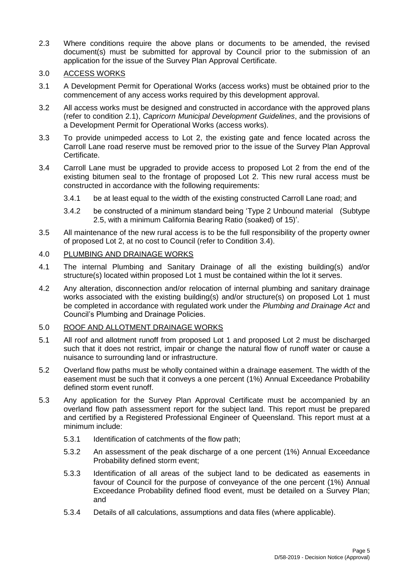- 2.3 Where conditions require the above plans or documents to be amended, the revised document(s) must be submitted for approval by Council prior to the submission of an application for the issue of the Survey Plan Approval Certificate.
- 3.0 ACCESS WORKS
- 3.1 A Development Permit for Operational Works (access works) must be obtained prior to the commencement of any access works required by this development approval.
- 3.2 All access works must be designed and constructed in accordance with the approved plans (refer to condition 2.1), *Capricorn Municipal Development Guidelines*, and the provisions of a Development Permit for Operational Works (access works).
- 3.3 To provide unimpeded access to Lot 2, the existing gate and fence located across the Carroll Lane road reserve must be removed prior to the issue of the Survey Plan Approval Certificate.
- 3.4 Carroll Lane must be upgraded to provide access to proposed Lot 2 from the end of the existing bitumen seal to the frontage of proposed Lot 2. This new rural access must be constructed in accordance with the following requirements:
	- 3.4.1 be at least equal to the width of the existing constructed Carroll Lane road; and
	- 3.4.2 be constructed of a minimum standard being 'Type 2 Unbound material (Subtype 2.5, with a minimum California Bearing Ratio (soaked) of 15)'.
- 3.5 All maintenance of the new rural access is to be the full responsibility of the property owner of proposed Lot 2, at no cost to Council (refer to Condition 3.4).

## 4.0 PLUMBING AND DRAINAGE WORKS

- 4.1 The internal Plumbing and Sanitary Drainage of all the existing building(s) and/or structure(s) located within proposed Lot 1 must be contained within the lot it serves.
- 4.2 Any alteration, disconnection and/or relocation of internal plumbing and sanitary drainage works associated with the existing building(s) and/or structure(s) on proposed Lot 1 must be completed in accordance with regulated work under the *Plumbing and Drainage Act* and Council's Plumbing and Drainage Policies.

## 5.0 ROOF AND ALLOTMENT DRAINAGE WORKS

- 5.1 All roof and allotment runoff from proposed Lot 1 and proposed Lot 2 must be discharged such that it does not restrict, impair or change the natural flow of runoff water or cause a nuisance to surrounding land or infrastructure.
- 5.2 Overland flow paths must be wholly contained within a drainage easement. The width of the easement must be such that it conveys a one percent (1%) Annual Exceedance Probability defined storm event runoff.
- 5.3 Any application for the Survey Plan Approval Certificate must be accompanied by an overland flow path assessment report for the subject land. This report must be prepared and certified by a Registered Professional Engineer of Queensland. This report must at a minimum include:
	- 5.3.1 Identification of catchments of the flow path;
	- 5.3.2 An assessment of the peak discharge of a one percent (1%) Annual Exceedance Probability defined storm event;
	- 5.3.3 Identification of all areas of the subject land to be dedicated as easements in favour of Council for the purpose of conveyance of the one percent (1%) Annual Exceedance Probability defined flood event, must be detailed on a Survey Plan; and
	- 5.3.4 Details of all calculations, assumptions and data files (where applicable).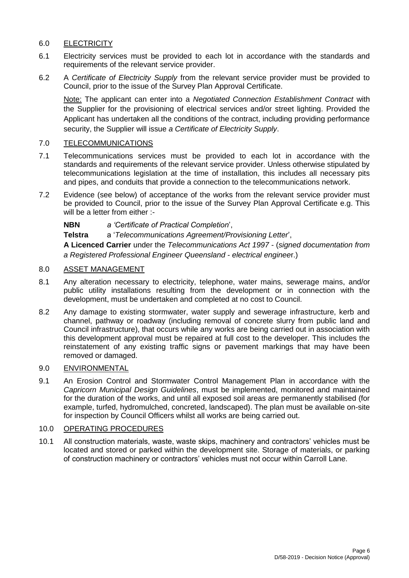## 6.0 ELECTRICITY

- 6.1 Electricity services must be provided to each lot in accordance with the standards and requirements of the relevant service provider.
- 6.2 A *Certificate of Electricity Supply* from the relevant service provider must be provided to Council, prior to the issue of the Survey Plan Approval Certificate.

Note: The applicant can enter into a *Negotiated Connection Establishment Contract* with the Supplier for the provisioning of electrical services and/or street lighting. Provided the Applicant has undertaken all the conditions of the contract, including providing performance security, the Supplier will issue *a Certificate of Electricity Supply*.

## 7.0 TELECOMMUNICATIONS

- 7.1 Telecommunications services must be provided to each lot in accordance with the standards and requirements of the relevant service provider. Unless otherwise stipulated by telecommunications legislation at the time of installation, this includes all necessary pits and pipes, and conduits that provide a connection to the telecommunications network.
- 7.2 Evidence (see below) of acceptance of the works from the relevant service provider must be provided to Council, prior to the issue of the Survey Plan Approval Certificate e.g. This will be a letter from either :-

**NBN** *a 'Certificate of Practical Completion*',

**Telstra** a '*Telecommunications Agreement/Provisioning Letter*',

**A Licenced Carrier** under the *Telecommunications Act 1997* - (*signed documentation from a Registered Professional Engineer Queensland - electrical enginee*r.)

## 8.0 ASSET MANAGEMENT

- 8.1 Any alteration necessary to electricity, telephone, water mains, sewerage mains, and/or public utility installations resulting from the development or in connection with the development, must be undertaken and completed at no cost to Council.
- 8.2 Any damage to existing stormwater, water supply and sewerage infrastructure, kerb and channel, pathway or roadway (including removal of concrete slurry from public land and Council infrastructure), that occurs while any works are being carried out in association with this development approval must be repaired at full cost to the developer. This includes the reinstatement of any existing traffic signs or pavement markings that may have been removed or damaged.

## 9.0 ENVIRONMENTAL

9.1 An Erosion Control and Stormwater Control Management Plan in accordance with the *Capricorn Municipal Design Guidelines*, must be implemented, monitored and maintained for the duration of the works, and until all exposed soil areas are permanently stabilised (for example, turfed, hydromulched, concreted, landscaped). The plan must be available on-site for inspection by Council Officers whilst all works are being carried out.

## 10.0 OPERATING PROCEDURES

10.1 All construction materials, waste, waste skips, machinery and contractors' vehicles must be located and stored or parked within the development site. Storage of materials, or parking of construction machinery or contractors' vehicles must not occur within Carroll Lane.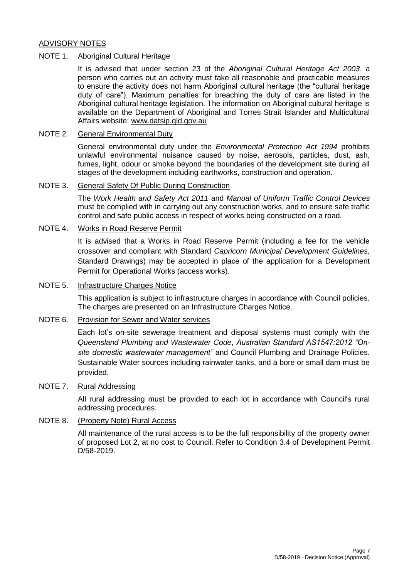## ADVISORY NOTES

## NOTE 1. Aboriginal Cultural Heritage

It is advised that under section 23 of the *Aboriginal Cultural Heritage Act 2003*, a person who carries out an activity must take all reasonable and practicable measures to ensure the activity does not harm Aboriginal cultural heritage (the "cultural heritage duty of care"). Maximum penalties for breaching the duty of care are listed in the Aboriginal cultural heritage legislation. The information on Aboriginal cultural heritage is available on the Department of Aboriginal and Torres Strait Islander and Multicultural Affairs website: [www.datsip.qld.gov.au](http://www.datsip.qld.gov.au/)

## NOTE 2. General Environmental Duty

General environmental duty under the *Environmental Protection Act 1994* prohibits unlawful environmental nuisance caused by noise, aerosols, particles, dust, ash, fumes, light, odour or smoke beyond the boundaries of the development site during all stages of the development including earthworks, construction and operation.

## NOTE 3. General Safety Of Public During Construction

The *Work Health and Safety Act 2011* and *Manual of Uniform Traffic Control Devices* must be complied with in carrying out any construction works, and to ensure safe traffic control and safe public access in respect of works being constructed on a road.

## NOTE 4. Works in Road Reserve Permit

It is advised that a Works in Road Reserve Permit (including a fee for the vehicle crossover and compliant with Standard *Capricorn Municipal Development Guidelines,* Standard Drawings) may be accepted in place of the application for a Development Permit for Operational Works (access works).

## NOTE 5. Infrastructure Charges Notice

This application is subject to infrastructure charges in accordance with Council policies. The charges are presented on an Infrastructure Charges Notice.

## NOTE 6. Provision for Sewer and Water services

Each lot's on-site sewerage treatment and disposal systems must comply with the *Queensland Plumbing and Wastewater Code*, *Australian Standard AS1547:2012 "Onsite domestic wastewater management"* and Council Plumbing and Drainage Policies. Sustainable Water sources including rainwater tanks, and a bore or small dam must be provided.

## NOTE 7. Rural Addressing

All rural addressing must be provided to each lot in accordance with Council's rural addressing procedures.

## NOTE 8. (Property Note) Rural Access

All maintenance of the rural access is to be the full responsibility of the property owner of proposed Lot 2, at no cost to Council. Refer to Condition 3.4 of Development Permit D/58-2019.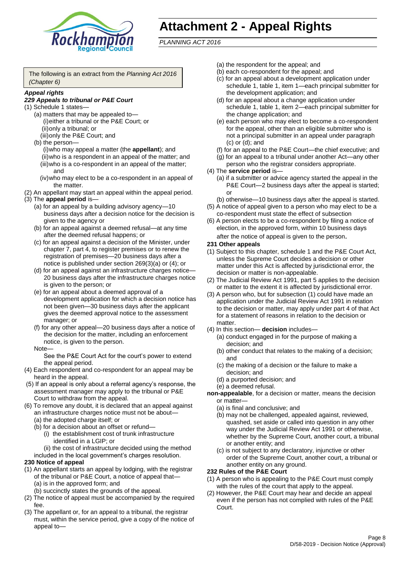

# **Attachment 2 - Appeal Rights**

*PLANNING ACT 2016*

The following is an extract from the *Planning Act 2016 (Chapter 6)*

#### *Appeal rights*

## *229 Appeals to tribunal or P&E Court*

- (1) Schedule 1 states—
	- (a) matters that may be appealed to— (i)either a tribunal or the P&E Court; or (ii)only a tribunal; or
	- (iii)only the P&E Court; and (b) the person—
		- (i)who may appeal a matter (the **appellant**); and (ii)who is a respondent in an appeal of the matter; and (iii)who is a co-respondent in an appeal of the matter; and
		- (iv)who may elect to be a co-respondent in an appeal of the matter.
- (2) An appellant may start an appeal within the appeal period.
- (3) The **appeal period** is—
	- (a) for an appeal by a building advisory agency—10 business days after a decision notice for the decision is given to the agency or
	- (b) for an appeal against a deemed refusal—at any time after the deemed refusal happens; or
	- (c) for an appeal against a decision of the Minister, under chapter 7, part 4, to register premises or to renew the registration of premises—20 business days after a notice is published under section 269(3)(a) or (4); or
	- (d) for an appeal against an infrastructure charges notice— 20 business days after the infrastructure charges notice is given to the person; or
	- (e) for an appeal about a deemed approval of a development application for which a decision notice has not been given—30 business days after the applicant gives the deemed approval notice to the assessment manager; or
	- (f) for any other appeal—20 business days after a notice of the decision for the matter, including an enforcement notice, is given to the person.

#### Note—

See the P&E Court Act for the court's power to extend the appeal period.

- (4) Each respondent and co-respondent for an appeal may be heard in the appeal.
- (5) If an appeal is only about a referral agency's response, the assessment manager may apply to the tribunal or P&E Court to withdraw from the appeal.
- (6) To remove any doubt, it is declared that an appeal against an infrastructure charges notice must not be about—
	- (a) the adopted charge itself; or
	- (b) for a decision about an offset or refund—
		- (i) the establishment cost of trunk infrastructure identified in a LGIP; or
		- (ii) the cost of infrastructure decided using the method
	- included in the local government's charges resolution.
- **230 Notice of appeal**
- (1) An appellant starts an appeal by lodging, with the registrar of the tribunal or P&E Court, a notice of appeal that—
	- (a) is in the approved form; and
	- (b) succinctly states the grounds of the appeal.
- (2) The notice of appeal must be accompanied by the required fee.
- (3) The appellant or, for an appeal to a tribunal, the registrar must, within the service period, give a copy of the notice of appeal to—
- (a) the respondent for the appeal; and
- (b) each co-respondent for the appeal; and
- (c) for an appeal about a development application under schedule 1, table 1, item 1—each principal submitter for the development application; and
- (d) for an appeal about a change application under schedule 1, table 1, item 2—each principal submitter for the change application; and
- (e) each person who may elect to become a co-respondent for the appeal, other than an eligible submitter who is not a principal submitter in an appeal under paragraph (c) or (d); and
- (f) for an appeal to the P&E Court—the chief executive; and
- (g) for an appeal to a tribunal under another Act—any other person who the registrar considers appropriate.
- (4) The **service period** is—
	- (a) if a submitter or advice agency started the appeal in the P&E Court—2 business days after the appeal is started; or
	- (b) otherwise—10 business days after the appeal is started.
- (5) A notice of appeal given to a person who may elect to be a co-respondent must state the effect of subsection
- (6) A person elects to be a co-respondent by filing a notice of election, in the approved form, within 10 business days after the notice of appeal is given to the person*.*
- **231 Other appeals**
- (1) Subject to this chapter, schedule 1 and the P&E Court Act, unless the Supreme Court decides a decision or other matter under this Act is affected by jurisdictional error, the decision or matter is non-appealable.
- (2) The Judicial Review Act 1991, part 5 applies to the decision or matter to the extent it is affected by jurisdictional error.
- (3) A person who, but for subsection (1) could have made an application under the Judicial Review Act 1991 in relation to the decision or matter, may apply under part 4 of that Act for a statement of reasons in relation to the decision or matter.
- (4) In this section— **decision** includes—
	- (a) conduct engaged in for the purpose of making a decision; and
	- (b) other conduct that relates to the making of a decision; and
	- (c) the making of a decision or the failure to make a decision; and
	- (d) a purported decision; and
	- (e) a deemed refusal.

**non-appealable**, for a decision or matter, means the decision or matter—

- (a) is final and conclusive; and
- (b) may not be challenged, appealed against, reviewed, quashed, set aside or called into question in any other way under the Judicial Review Act 1991 or otherwise, whether by the Supreme Court, another court, a tribunal or another entity; and
- (c) is not subject to any declaratory, injunctive or other order of the Supreme Court, another court, a tribunal or another entity on any ground.

#### **232 Rules of the P&E Court**

- (1) A person who is appealing to the P&E Court must comply with the rules of the court that apply to the appeal.
- (2) However, the P&E Court may hear and decide an appeal even if the person has not complied with rules of the P&E Court.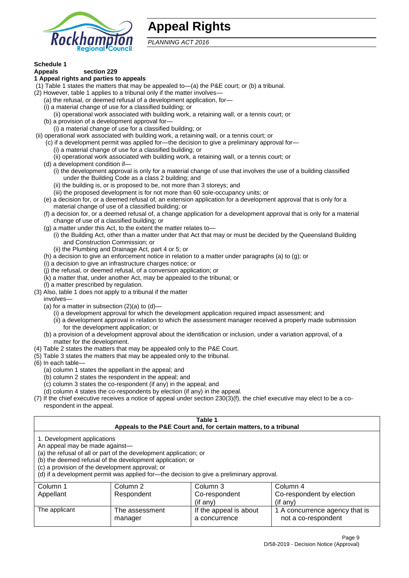

# **Appeal Rights**

*PLANNING ACT 2016*

# **Schedule 1**

#### **Appeals section 229 1 Appeal rights and parties to appeals**

- (1) Table 1 states the matters that may be appealed to—(a) the P&E court; or (b) a tribunal.
- (2) However, table 1 applies to a tribunal only if the matter involves—
	- (a) the refusal, or deemed refusal of a development application, for—
	- (i) a material change of use for a classified building; or
	- (ii) operational work associated with building work, a retaining wall, or a tennis court; or
	- (b) a provision of a development approval for—
	- (i) a material change of use for a classified building; or
- (ii) operational work associated with building work, a retaining wall, or a tennis court; or
	- (c) if a development permit was applied for—the decision to give a preliminary approval for—
		- (i) a material change of use for a classified building; or
	- (ii) operational work associated with building work, a retaining wall, or a tennis court; or
	- (d) a development condition if—
		- (i) the development approval is only for a material change of use that involves the use of a building classified under the Building Code as a class 2 building; and
		- (ii) the building is, or is proposed to be, not more than 3 storeys; and
		- (iii) the proposed development is for not more than 60 sole-occupancy units; or
	- (e) a decision for, or a deemed refusal of, an extension application for a development approval that is only for a material change of use of a classified building; or
	- (f) a decision for, or a deemed refusal of, a change application for a development approval that is only for a material change of use of a classified building; or
	- (g) a matter under this Act, to the extent the matter relates to—
		- (i) the Building Act, other than a matter under that Act that may or must be decided by the Queensland Building and Construction Commission; or
		- (ii) the Plumbing and Drainage Act, part 4 or 5; or
	- (h) a decision to give an enforcement notice in relation to a matter under paragraphs (a) to (g); or
	- (i) a decision to give an infrastructure charges notice; or
	- (j) the refusal, or deemed refusal, of a conversion application; or
	- (k) a matter that, under another Act, may be appealed to the tribunal; or
	- (l) a matter prescribed by regulation.
- (3) Also, table 1 does not apply to a tribunal if the matter

involves—

- (a) for a matter in subsection  $(2)(a)$  to  $(d)$ 
	- (i) a development approval for which the development application required impact assessment; and
	- (ii) a development approval in relation to which the assessment manager received a properly made submission for the development application; or
- (b) a provision of a development approval about the identification or inclusion, under a variation approval, of a matter for the development.
- (4) Table 2 states the matters that may be appealed only to the P&E Court.
- (5) Table 3 states the matters that may be appealed only to the tribunal.
- (6) In each table—
	- (a) column 1 states the appellant in the appeal; and
	- (b) column 2 states the respondent in the appeal; and
	- (c) column 3 states the co-respondent (if any) in the appeal; and
	- (d) column 4 states the co-respondents by election (if any) in the appeal.
- (7) If the chief executive receives a notice of appeal under section 230(3)(f), the chief executive may elect to be a corespondent in the appeal.

| Table 1<br>Appeals to the P&E Court and, for certain matters, to a tribunal                                                                                                                                                                                                                                                                    |                           |                                         |                                                       |  |  |
|------------------------------------------------------------------------------------------------------------------------------------------------------------------------------------------------------------------------------------------------------------------------------------------------------------------------------------------------|---------------------------|-----------------------------------------|-------------------------------------------------------|--|--|
| 1. Development applications<br>An appeal may be made against-<br>(a) the refusal of all or part of the development application; or<br>(b) the deemed refusal of the development application; or<br>(c) a provision of the development approval; or<br>(d) if a development permit was applied for—the decision to give a preliminary approval. |                           |                                         |                                                       |  |  |
| Column 1                                                                                                                                                                                                                                                                                                                                       | Column 2                  | Column 3                                | Column 4                                              |  |  |
| Co-respondent by election<br>Appellant<br>Respondent<br>Co-respondent<br>(if any)<br>$($ if any $)$                                                                                                                                                                                                                                            |                           |                                         |                                                       |  |  |
| The applicant                                                                                                                                                                                                                                                                                                                                  | The assessment<br>manager | If the appeal is about<br>a concurrence | 1 A concurrence agency that is<br>not a co-respondent |  |  |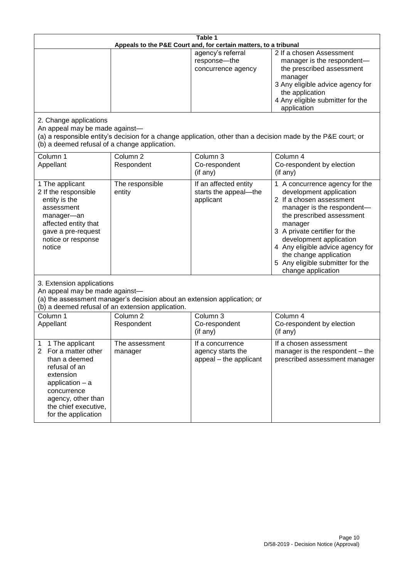| Table 1<br>Appeals to the P&E Court and, for certain matters, to a tribunal                                                                                                                                          |                                   |                                                                 |                                                                                                                                                                                                                                                                                                                                                 |  |
|----------------------------------------------------------------------------------------------------------------------------------------------------------------------------------------------------------------------|-----------------------------------|-----------------------------------------------------------------|-------------------------------------------------------------------------------------------------------------------------------------------------------------------------------------------------------------------------------------------------------------------------------------------------------------------------------------------------|--|
|                                                                                                                                                                                                                      |                                   | agency's referral<br>response-the<br>concurrence agency         | 2 If a chosen Assessment<br>manager is the respondent-<br>the prescribed assessment<br>manager<br>3 Any eligible advice agency for<br>the application<br>4 Any eligible submitter for the<br>application                                                                                                                                        |  |
| 2. Change applications<br>An appeal may be made against-<br>(b) a deemed refusal of a change application.                                                                                                            |                                   |                                                                 | (a) a responsible entity's decision for a change application, other than a decision made by the P&E court; or                                                                                                                                                                                                                                   |  |
| Column 1<br>Appellant                                                                                                                                                                                                | Column <sub>2</sub><br>Respondent | Column 3<br>Co-respondent<br>(if any)                           | Column 4<br>Co-respondent by election<br>(if any)                                                                                                                                                                                                                                                                                               |  |
| 1 The applicant<br>2 If the responsible<br>entity is the<br>assessment<br>manager-an<br>affected entity that<br>gave a pre-request<br>notice or response<br>notice                                                   | The responsible<br>entity         | If an affected entity<br>starts the appeal-the<br>applicant     | 1 A concurrence agency for the<br>development application<br>2 If a chosen assessment<br>manager is the respondent-<br>the prescribed assessment<br>manager<br>3 A private certifier for the<br>development application<br>4 Any eligible advice agency for<br>the change application<br>5 Any eligible submitter for the<br>change application |  |
| 3. Extension applications<br>An appeal may be made against-<br>(a) the assessment manager's decision about an extension application; or<br>(b) a deemed refusal of an extension application.                         |                                   |                                                                 |                                                                                                                                                                                                                                                                                                                                                 |  |
| Column 1<br>Appellant                                                                                                                                                                                                | Column <sub>2</sub><br>Respondent | Column 3<br>Co-respondent<br>(if any)                           | Column 4<br>Co-respondent by election<br>(if any)                                                                                                                                                                                                                                                                                               |  |
| 1 The applicant<br>1<br>$\overline{2}$<br>For a matter other<br>than a deemed<br>refusal of an<br>extension<br>application $-$ a<br>concurrence<br>agency, other than<br>the chief executive,<br>for the application | The assessment<br>manager         | If a concurrence<br>agency starts the<br>appeal - the applicant | If a chosen assessment<br>manager is the respondent - the<br>prescribed assessment manager                                                                                                                                                                                                                                                      |  |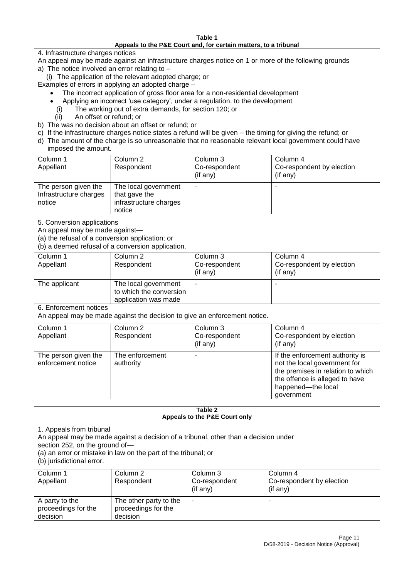#### **Table 1 Appeals to the P&E Court and, for certain matters, to a tribunal**

4. Infrastructure charges notices

- An appeal may be made against an infrastructure charges notice on 1 or more of the following grounds
- a) The notice involved an error relating to
	- (i) The application of the relevant adopted charge; or
- Examples of errors in applying an adopted charge
	- The incorrect application of gross floor area for a non-residential development
	- Applying an incorrect 'use category', under a regulation, to the development
	- (i) The working out of extra demands, for section 120; or
	- (ii) An offset or refund; or
- b) The was no decision about an offset or refund; or
- c) If the infrastructure charges notice states a refund will be given the timing for giving the refund; or
- d) The amount of the charge is so unreasonable that no reasonable relevant local government could have
- imposed the amount.

| Column 1                                                 | Column 2                                                                  | Column 3       | Column 4                  |
|----------------------------------------------------------|---------------------------------------------------------------------------|----------------|---------------------------|
| Appellant                                                | Respondent                                                                | Co-respondent  | Co-respondent by election |
|                                                          |                                                                           | $($ if any $)$ | (if any)                  |
| The person given the<br>Infrastructure charges<br>notice | The local government<br>that gave the<br>infrastructure charges<br>notice |                |                           |

5. Conversion applications

An appeal may be made against—

(a) the refusal of a conversion application; or

(b) a deemed refusal of a conversion application.

| Column 1<br>Appellant | Column 2<br>Respondent                                                  | Column 3<br>Co-respondent<br>$($ if any $)$ | Column 4<br>Co-respondent by election<br>$($ if any $)$ |
|-----------------------|-------------------------------------------------------------------------|---------------------------------------------|---------------------------------------------------------|
| The applicant         | The local government<br>to which the conversion<br>application was made |                                             |                                                         |

6. Enforcement notices

An appeal may be made against the decision to give an enforcement notice.

| Column 1<br>Appellant                      | Column 2<br>Respondent       | Column 3<br>Co-respondent<br>(if any) | Column 4<br>Co-respondent by election<br>(if any)                                                                                                                          |
|--------------------------------------------|------------------------------|---------------------------------------|----------------------------------------------------------------------------------------------------------------------------------------------------------------------------|
| The person given the<br>enforcement notice | The enforcement<br>authority |                                       | If the enforcement authority is<br>not the local government for<br>the premises in relation to which<br>the offence is alleged to have<br>happened-the local<br>government |

#### **Table 2 Appeals to the P&E Court only**

1. Appeals from tribunal

An appeal may be made against a decision of a tribunal, other than a decision under

section 252, on the ground of—

(a) an error or mistake in law on the part of the tribunal; or

(b) jurisdictional error.

| Column 1<br>Appellant                             | Column 2<br>Respondent                                    | Column 3<br>Co-respondent<br>$($ if any $)$ | Column 4<br>Co-respondent by election<br>(if any) |
|---------------------------------------------------|-----------------------------------------------------------|---------------------------------------------|---------------------------------------------------|
| A party to the<br>proceedings for the<br>decision | The other party to the<br>proceedings for the<br>decision | ۰                                           |                                                   |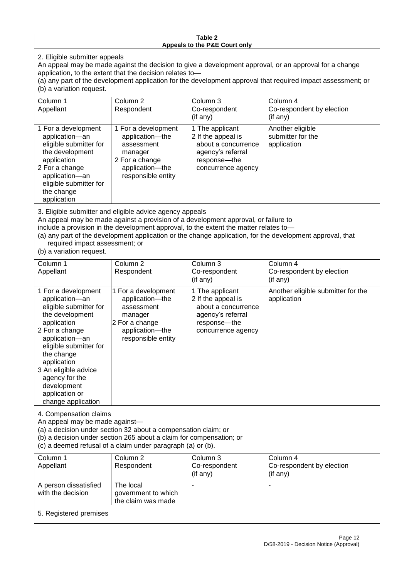#### **Table 2 Appeals to the P&E Court only**

2. Eligible submitter appeals

An appeal may be made against the decision to give a development approval, or an approval for a change application, to the extent that the decision relates to—

(a) any part of the development application for the development approval that required impact assessment; or (b) a variation request.

| Column 1<br>Appellant                                                                                                                                                                        | Column 2<br>Respondent                                                                                                     | Column 3<br>Co-respondent<br>(if any)                                                                                     | Column 4<br>Co-respondent by election<br>(if any)    |  |
|----------------------------------------------------------------------------------------------------------------------------------------------------------------------------------------------|----------------------------------------------------------------------------------------------------------------------------|---------------------------------------------------------------------------------------------------------------------------|------------------------------------------------------|--|
| 1 For a development<br>application-an<br>eligible submitter for<br>the development<br>application<br>2 For a change<br>application-an<br>eligible submitter for<br>the change<br>application | 1 For a development<br>application-the<br>assessment<br>manager<br>2 For a change<br>application-the<br>responsible entity | 1 The applicant<br>2 If the appeal is<br>about a concurrence<br>agency's referral<br>response---the<br>concurrence agency | Another eligible<br>submitter for the<br>application |  |
|                                                                                                                                                                                              |                                                                                                                            |                                                                                                                           |                                                      |  |

3. Eligible submitter and eligible advice agency appeals

An appeal may be made against a provision of a development approval, or failure to

include a provision in the development approval, to the extent the matter relates to—

(a) any part of the development application or the change application, for the development approval, that required impact assessment; or

(b) a variation request.

| Column 1<br>Appellant                                                                                                                                                                                                                                                                         | Column <sub>2</sub><br>Respondent                                                                                          | Column 3<br>Co-respondent<br>(if any)                                                                                   | Column 4<br>Co-respondent by election<br>(if any)            |
|-----------------------------------------------------------------------------------------------------------------------------------------------------------------------------------------------------------------------------------------------------------------------------------------------|----------------------------------------------------------------------------------------------------------------------------|-------------------------------------------------------------------------------------------------------------------------|--------------------------------------------------------------|
| 1 For a development<br>application-an<br>eligible submitter for<br>the development<br>application<br>2 For a change<br>application-an<br>eligible submitter for<br>the change<br>application<br>3 An eligible advice<br>agency for the<br>development<br>application or<br>change application | 1 For a development<br>application-the<br>assessment<br>manager<br>2 For a change<br>application-the<br>responsible entity | 1 The applicant<br>2 If the appeal is<br>about a concurrence<br>agency's referral<br>response-the<br>concurrence agency | Another eligible submitter for the<br>application            |
| 4. Compensation claims<br>An appeal may be made against-<br>(a) a decision under section 32 about a compensation claim; or<br>(b) a decision under section 265 about a claim for compensation; or<br>(c) a deemed refusal of a claim under paragraph (a) or (b).                              |                                                                                                                            |                                                                                                                         |                                                              |
| Column 1<br>Appellant                                                                                                                                                                                                                                                                         | Column <sub>2</sub><br>Respondent                                                                                          | Column 3<br>Co-respondent<br>(if any)                                                                                   | Column <sub>4</sub><br>Co-respondent by election<br>(if any) |
| A person dissatisfied<br>with the decision                                                                                                                                                                                                                                                    | The local<br>government to which                                                                                           |                                                                                                                         |                                                              |

5. Registered premises

the claim was made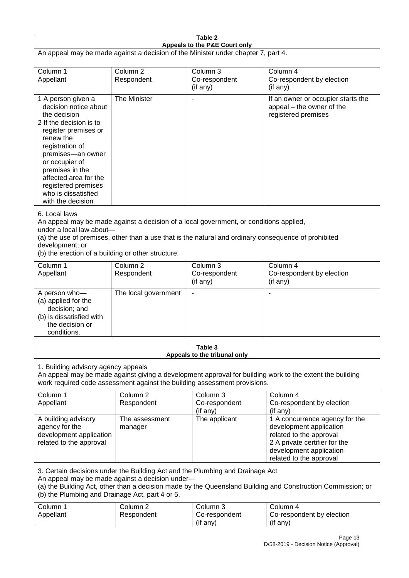| Table 2                                                                                                                                                                                                                                                                                              |                                                                                                                                                                                                                                                                                  |                                                  |                                                                                                                                                                             |  |  |
|------------------------------------------------------------------------------------------------------------------------------------------------------------------------------------------------------------------------------------------------------------------------------------------------------|----------------------------------------------------------------------------------------------------------------------------------------------------------------------------------------------------------------------------------------------------------------------------------|--------------------------------------------------|-----------------------------------------------------------------------------------------------------------------------------------------------------------------------------|--|--|
| Appeals to the P&E Court only<br>An appeal may be made against a decision of the Minister under chapter 7, part 4.                                                                                                                                                                                   |                                                                                                                                                                                                                                                                                  |                                                  |                                                                                                                                                                             |  |  |
| Column 1                                                                                                                                                                                                                                                                                             | Column <sub>2</sub>                                                                                                                                                                                                                                                              | Column 3                                         | Column 4                                                                                                                                                                    |  |  |
| Appellant                                                                                                                                                                                                                                                                                            | Respondent                                                                                                                                                                                                                                                                       | Co-respondent<br>(if any)                        | Co-respondent by election<br>(if any)                                                                                                                                       |  |  |
| 1 A person given a<br>decision notice about<br>the decision<br>2 If the decision is to<br>register premises or<br>renew the<br>registration of<br>premises-an owner<br>or occupier of<br>premises in the<br>affected area for the<br>registered premises<br>who is dissatisfied<br>with the decision | The Minister                                                                                                                                                                                                                                                                     | $\overline{\phantom{a}}$                         | If an owner or occupier starts the<br>appeal - the owner of the<br>registered premises                                                                                      |  |  |
| 6. Local laws<br>development; or                                                                                                                                                                                                                                                                     | An appeal may be made against a decision of a local government, or conditions applied,<br>under a local law about-<br>(a) the use of premises, other than a use that is the natural and ordinary consequence of prohibited<br>(b) the erection of a building or other structure. |                                                  |                                                                                                                                                                             |  |  |
| Column 1<br>Appellant                                                                                                                                                                                                                                                                                | Column <sub>2</sub><br>Respondent                                                                                                                                                                                                                                                | Column <sub>3</sub><br>Co-respondent<br>(if any) | Column 4<br>Co-respondent by election<br>(if any)                                                                                                                           |  |  |
| A person who-<br>(a) applied for the<br>decision; and<br>(b) is dissatisfied with<br>the decision or<br>conditions.                                                                                                                                                                                  | The local government                                                                                                                                                                                                                                                             | $\overline{\phantom{a}}$                         |                                                                                                                                                                             |  |  |
| Table 3                                                                                                                                                                                                                                                                                              |                                                                                                                                                                                                                                                                                  |                                                  |                                                                                                                                                                             |  |  |
| Appeals to the tribunal only<br>1. Building advisory agency appeals<br>An appeal may be made against giving a development approval for building work to the extent the building<br>work required code assessment against the building assessment provisions.                                         |                                                                                                                                                                                                                                                                                  |                                                  |                                                                                                                                                                             |  |  |
| Column 1<br>Appellant                                                                                                                                                                                                                                                                                | Column <sub>2</sub><br>Respondent                                                                                                                                                                                                                                                | Column 3<br>Co-respondent<br>(if any)            | Column 4<br>Co-respondent by election<br>(if any)                                                                                                                           |  |  |
| A building advisory<br>agency for the<br>development application<br>related to the approval                                                                                                                                                                                                          | The assessment<br>manager                                                                                                                                                                                                                                                        | The applicant                                    | 1 A concurrence agency for the<br>development application<br>related to the approval<br>2 A private certifier for the<br>development application<br>related to the approval |  |  |
| 3. Certain decisions under the Building Act and the Plumbing and Drainage Act<br>An appeal may be made against a decision under-<br>(a) the Building Act, other than a decision made by the Queensland Building and Construction Commission; or<br>(b) the Plumbing and Drainage Act, part 4 or 5.   |                                                                                                                                                                                                                                                                                  |                                                  |                                                                                                                                                                             |  |  |
| Column 1<br>Appellant                                                                                                                                                                                                                                                                                | Column <sub>2</sub><br>Respondent                                                                                                                                                                                                                                                | Column 3<br>Co-respondent<br>(if any)            | Column 4<br>Co-respondent by election<br>(if any)                                                                                                                           |  |  |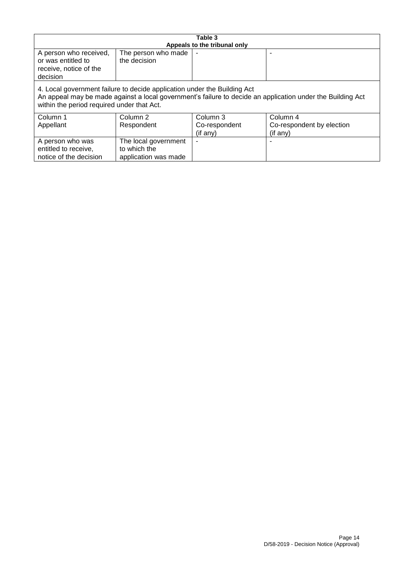| Table 3                                                                                                                                                                                                                              |                                                              |                              |                                       |  |
|--------------------------------------------------------------------------------------------------------------------------------------------------------------------------------------------------------------------------------------|--------------------------------------------------------------|------------------------------|---------------------------------------|--|
|                                                                                                                                                                                                                                      |                                                              | Appeals to the tribunal only |                                       |  |
| A person who received,<br>or was entitled to<br>receive, notice of the<br>decision                                                                                                                                                   | The person who made<br>the decision                          |                              |                                       |  |
| 4. Local government failure to decide application under the Building Act<br>An appeal may be made against a local government's failure to decide an application under the Building Act<br>within the period required under that Act. |                                                              |                              |                                       |  |
| Column 1                                                                                                                                                                                                                             | Column 2                                                     | Column 3                     | Column 4                              |  |
| Appellant                                                                                                                                                                                                                            | Respondent                                                   | Co-respondent<br>(if any)    | Co-respondent by election<br>(if any) |  |
| A person who was<br>entitled to receive,<br>notice of the decision                                                                                                                                                                   | The local government<br>to which the<br>application was made |                              |                                       |  |